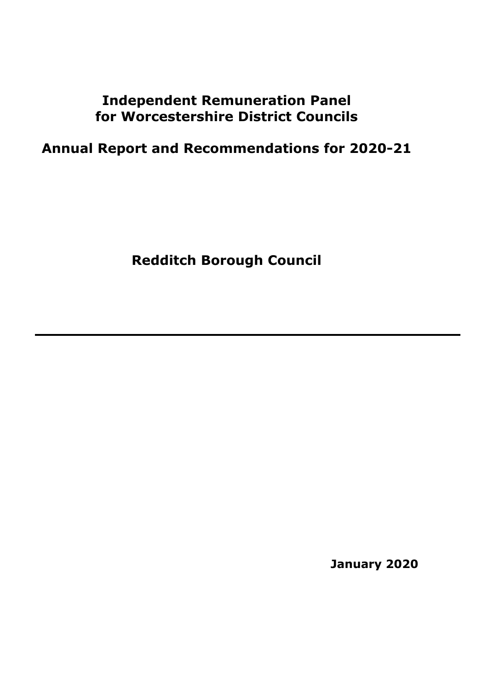# **Independent Remuneration Panel for Worcestershire District Councils**

# **Annual Report and Recommendations for 2020-21**

**Redditch Borough Council**

**January 2020**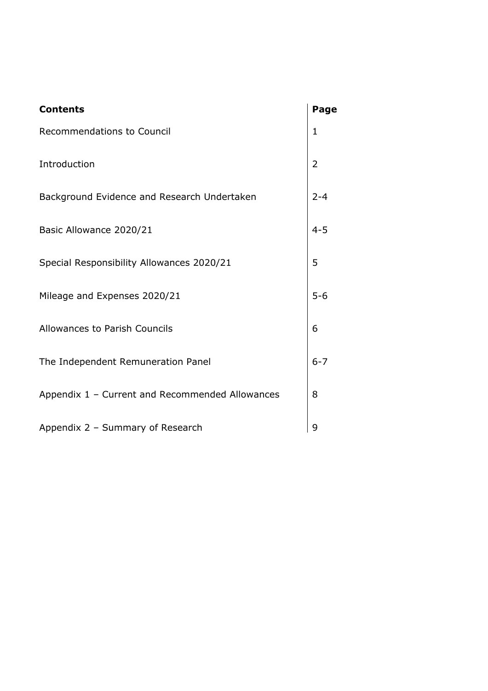| <b>Contents</b>                                 | Page         |
|-------------------------------------------------|--------------|
| Recommendations to Council                      | $\mathbf{1}$ |
| Introduction                                    | 2            |
| Background Evidence and Research Undertaken     | $2 - 4$      |
| Basic Allowance 2020/21                         | $4 - 5$      |
| Special Responsibility Allowances 2020/21       | 5            |
| Mileage and Expenses 2020/21                    | $5 - 6$      |
| Allowances to Parish Councils                   | 6            |
| The Independent Remuneration Panel              | $6 - 7$      |
| Appendix 1 - Current and Recommended Allowances | 8            |
| Appendix 2 - Summary of Research                | 9            |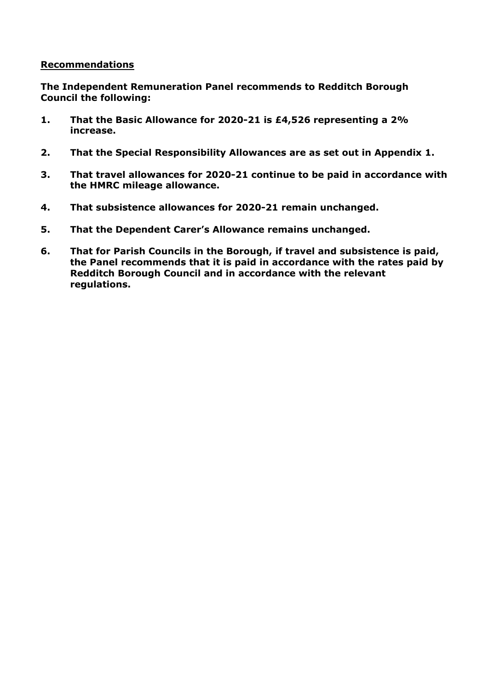#### **Recommendations**

**The Independent Remuneration Panel recommends to Redditch Borough Council the following:**

- **1. That the Basic Allowance for 2020-21 is £4,526 representing a 2% increase.**
- **2. That the Special Responsibility Allowances are as set out in Appendix 1.**
- **3. That travel allowances for 2020-21 continue to be paid in accordance with the HMRC mileage allowance.**
- **4. That subsistence allowances for 2020-21 remain unchanged.**
- **5. That the Dependent Carer's Allowance remains unchanged.**
- **6. That for Parish Councils in the Borough, if travel and subsistence is paid, the Panel recommends that it is paid in accordance with the rates paid by Redditch Borough Council and in accordance with the relevant regulations.**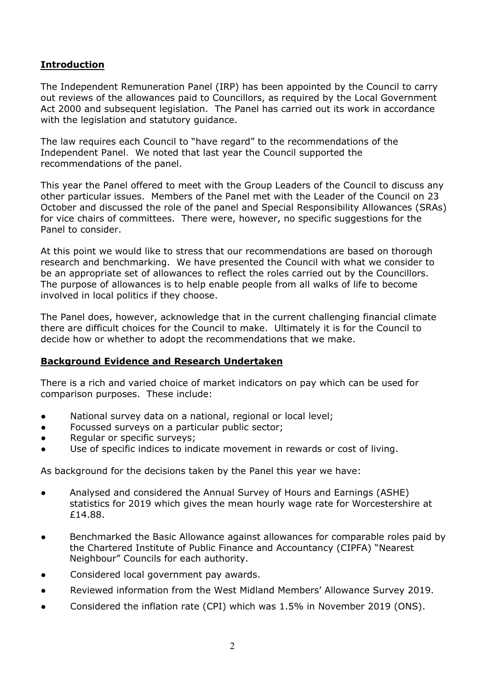# **Introduction**

The Independent Remuneration Panel (IRP) has been appointed by the Council to carry out reviews of the allowances paid to Councillors, as required by the Local Government Act 2000 and subsequent legislation. The Panel has carried out its work in accordance with the legislation and statutory guidance.

The law requires each Council to "have regard" to the recommendations of the Independent Panel. We noted that last year the Council supported the recommendations of the panel.

This year the Panel offered to meet with the Group Leaders of the Council to discuss any other particular issues. Members of the Panel met with the Leader of the Council on 23 October and discussed the role of the panel and Special Responsibility Allowances (SRAs) for vice chairs of committees. There were, however, no specific suggestions for the Panel to consider.

At this point we would like to stress that our recommendations are based on thorough research and benchmarking. We have presented the Council with what we consider to be an appropriate set of allowances to reflect the roles carried out by the Councillors. The purpose of allowances is to help enable people from all walks of life to become involved in local politics if they choose.

The Panel does, however, acknowledge that in the current challenging financial climate there are difficult choices for the Council to make. Ultimately it is for the Council to decide how or whether to adopt the recommendations that we make.

#### **Background Evidence and Research Undertaken**

There is a rich and varied choice of market indicators on pay which can be used for comparison purposes. These include:

- National survey data on a national, regional or local level;
- Focussed surveys on a particular public sector;
- Regular or specific surveys;
- Use of specific indices to indicate movement in rewards or cost of living.

As background for the decisions taken by the Panel this year we have:

- Analysed and considered the Annual Survey of Hours and Earnings (ASHE) statistics for 2019 which gives the mean hourly wage rate for Worcestershire at £14.88.
- Benchmarked the Basic Allowance against allowances for comparable roles paid by the Chartered Institute of Public Finance and Accountancy (CIPFA) "Nearest Neighbour" Councils for each authority.
- Considered local government pay awards.
- Reviewed information from the West Midland Members' Allowance Survey 2019.
- Considered the inflation rate (CPI) which was 1.5% in November 2019 (ONS).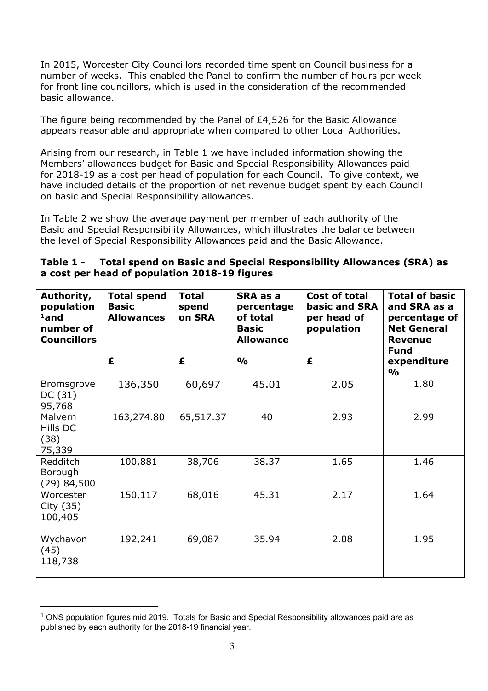In 2015, Worcester City Councillors recorded time spent on Council business for a number of weeks. This enabled the Panel to confirm the number of hours per week for front line councillors, which is used in the consideration of the recommended basic allowance.

The figure being recommended by the Panel of £4,526 for the Basic Allowance appears reasonable and appropriate when compared to other Local Authorities.

Arising from our research, in Table 1 we have included information showing the Members' allowances budget for Basic and Special Responsibility Allowances paid for 2018-19 as a cost per head of population for each Council. To give context, we have included details of the proportion of net revenue budget spent by each Council on basic and Special Responsibility allowances.

In Table 2 we show the average payment per member of each authority of the Basic and Special Responsibility Allowances, which illustrates the balance between the level of Special Responsibility Allowances paid and the Basic Allowance.

| Table 1 - | Total spend on Basic and Special Responsibility Allowances (SRA) as |
|-----------|---------------------------------------------------------------------|
|           | a cost per head of population 2018-19 figures                       |

| Authority,<br>population<br>$1$ and<br>number of<br><b>Councillors</b> | <b>Total spend</b><br><b>Basic</b><br><b>Allowances</b> | <b>Total</b><br>spend<br>on SRA | SRA as a<br>percentage<br>of total<br><b>Basic</b><br><b>Allowance</b> | Cost of total<br>basic and SRA<br>per head of<br>population | <b>Total of basic</b><br>and SRA as a<br>percentage of<br><b>Net General</b><br><b>Revenue</b><br><b>Fund</b> |
|------------------------------------------------------------------------|---------------------------------------------------------|---------------------------------|------------------------------------------------------------------------|-------------------------------------------------------------|---------------------------------------------------------------------------------------------------------------|
|                                                                        | £                                                       | £                               | $\frac{1}{2}$                                                          | £                                                           | expenditure<br>$\frac{1}{2}$                                                                                  |
| Bromsgrove<br>DC(31)<br>95,768                                         | 136,350                                                 | 60,697                          | 45.01                                                                  | 2.05                                                        | 1.80                                                                                                          |
| Malvern<br>Hills DC<br>(38)<br>75,339                                  | 163,274.80                                              | 65,517.37                       | 40                                                                     | 2.93                                                        | 2.99                                                                                                          |
| Redditch<br>Borough<br>(29) 84,500                                     | 100,881                                                 | 38,706                          | 38.37                                                                  | 1.65                                                        | 1.46                                                                                                          |
| Worcester<br>City (35)<br>100,405                                      | 150,117                                                 | 68,016                          | 45.31                                                                  | 2.17                                                        | 1.64                                                                                                          |
| Wychavon<br>(45)<br>118,738                                            | 192,241                                                 | 69,087                          | 35.94                                                                  | 2.08                                                        | 1.95                                                                                                          |

 $1$  ONS population figures mid 2019. Totals for Basic and Special Responsibility allowances paid are as published by each authority for the 2018-19 financial year.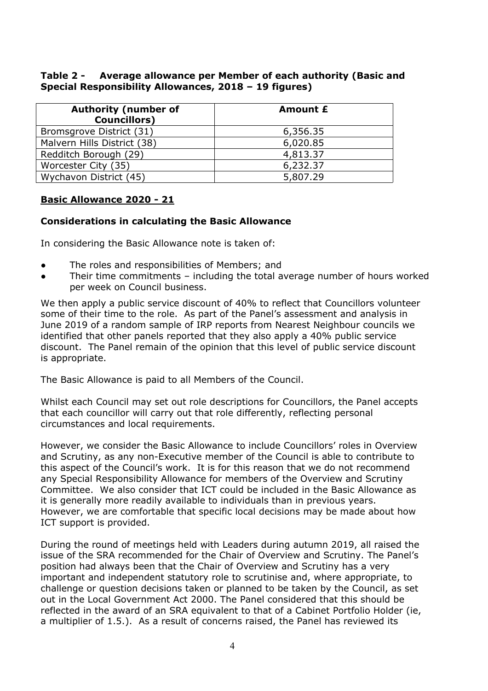#### **Table 2 - Average allowance per Member of each authority (Basic and Special Responsibility Allowances, 2018 – 19 figures)**

| <b>Authority (number of</b><br><b>Councillors</b> ) | <b>Amount £</b> |
|-----------------------------------------------------|-----------------|
| Bromsgrove District (31)                            | 6,356.35        |
| Malvern Hills District (38)                         | 6,020.85        |
| Redditch Borough (29)                               | 4,813.37        |
| Worcester City (35)                                 | 6,232.37        |
| Wychavon District (45)                              | 5,807.29        |

# **Basic Allowance 2020 - 21**

# **Considerations in calculating the Basic Allowance**

In considering the Basic Allowance note is taken of:

- The roles and responsibilities of Members; and
- Their time commitments including the total average number of hours worked per week on Council business.

We then apply a public service discount of 40% to reflect that Councillors volunteer some of their time to the role. As part of the Panel's assessment and analysis in June 2019 of a random sample of IRP reports from Nearest Neighbour councils we identified that other panels reported that they also apply a 40% public service discount. The Panel remain of the opinion that this level of public service discount is appropriate.

The Basic Allowance is paid to all Members of the Council.

Whilst each Council may set out role descriptions for Councillors, the Panel accepts that each councillor will carry out that role differently, reflecting personal circumstances and local requirements.

However, we consider the Basic Allowance to include Councillors' roles in Overview and Scrutiny, as any non-Executive member of the Council is able to contribute to this aspect of the Council's work. It is for this reason that we do not recommend any Special Responsibility Allowance for members of the Overview and Scrutiny Committee. We also consider that ICT could be included in the Basic Allowance as it is generally more readily available to individuals than in previous years. However, we are comfortable that specific local decisions may be made about how ICT support is provided.

During the round of meetings held with Leaders during autumn 2019, all raised the issue of the SRA recommended for the Chair of Overview and Scrutiny. The Panel's position had always been that the Chair of Overview and Scrutiny has a very important and independent statutory role to scrutinise and, where appropriate, to challenge or question decisions taken or planned to be taken by the Council, as set out in the Local Government Act 2000. The Panel considered that this should be reflected in the award of an SRA equivalent to that of a Cabinet Portfolio Holder (ie, a multiplier of 1.5.). As a result of concerns raised, the Panel has reviewed its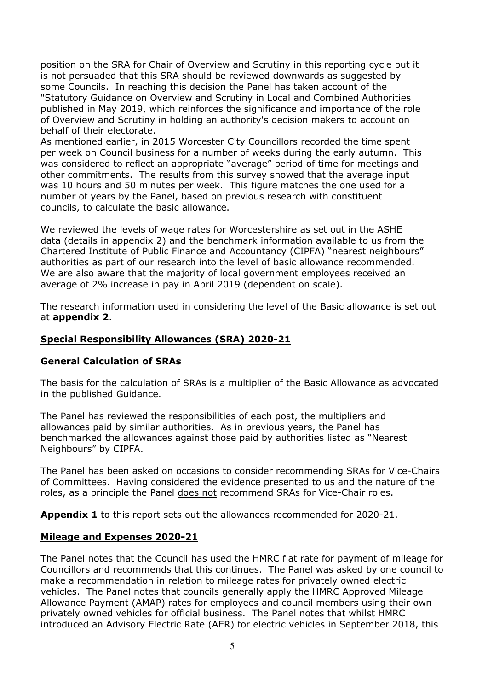position on the SRA for Chair of Overview and Scrutiny in this reporting cycle but it is not persuaded that this SRA should be reviewed downwards as suggested by some Councils. In reaching this decision the Panel has taken account of the "Statutory Guidance on Overview and Scrutiny in Local and Combined Authorities published in May 2019, which reinforces the significance and importance of the role of Overview and Scrutiny in holding an authority's decision makers to account on behalf of their electorate.

As mentioned earlier, in 2015 Worcester City Councillors recorded the time spent per week on Council business for a number of weeks during the early autumn. This was considered to reflect an appropriate "average" period of time for meetings and other commitments. The results from this survey showed that the average input was 10 hours and 50 minutes per week. This figure matches the one used for a number of years by the Panel, based on previous research with constituent councils, to calculate the basic allowance.

We reviewed the levels of wage rates for Worcestershire as set out in the ASHE data (details in appendix 2) and the benchmark information available to us from the Chartered Institute of Public Finance and Accountancy (CIPFA) "nearest neighbours" authorities as part of our research into the level of basic allowance recommended. We are also aware that the majority of local government employees received an average of 2% increase in pay in April 2019 (dependent on scale).

The research information used in considering the level of the Basic allowance is set out at **appendix 2**.

#### **Special Responsibility Allowances (SRA) 2020-21**

#### **General Calculation of SRAs**

The basis for the calculation of SRAs is a multiplier of the Basic Allowance as advocated in the published Guidance.

The Panel has reviewed the responsibilities of each post, the multipliers and allowances paid by similar authorities. As in previous years, the Panel has benchmarked the allowances against those paid by authorities listed as "Nearest Neighbours" by CIPFA.

The Panel has been asked on occasions to consider recommending SRAs for Vice-Chairs of Committees. Having considered the evidence presented to us and the nature of the roles, as a principle the Panel does not recommend SRAs for Vice-Chair roles.

**Appendix 1** to this report sets out the allowances recommended for 2020-21.

#### **Mileage and Expenses 2020-21**

The Panel notes that the Council has used the HMRC flat rate for payment of mileage for Councillors and recommends that this continues. The Panel was asked by one council to make a recommendation in relation to mileage rates for privately owned electric vehicles. The Panel notes that councils generally apply the HMRC Approved Mileage Allowance Payment (AMAP) rates for employees and council members using their own privately owned vehicles for official business. The Panel notes that whilst HMRC introduced an Advisory Electric Rate (AER) for electric vehicles in September 2018, this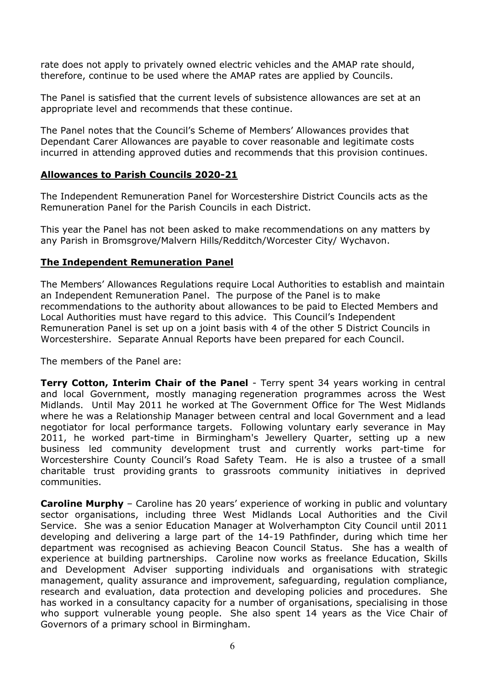rate does not apply to privately owned electric vehicles and the AMAP rate should, therefore, continue to be used where the AMAP rates are applied by Councils.

The Panel is satisfied that the current levels of subsistence allowances are set at an appropriate level and recommends that these continue.

The Panel notes that the Council's Scheme of Members' Allowances provides that Dependant Carer Allowances are payable to cover reasonable and legitimate costs incurred in attending approved duties and recommends that this provision continues.

#### **Allowances to Parish Councils 2020-21**

The Independent Remuneration Panel for Worcestershire District Councils acts as the Remuneration Panel for the Parish Councils in each District.

This year the Panel has not been asked to make recommendations on any matters by any Parish in Bromsgrove/Malvern Hills/Redditch/Worcester City/ Wychavon.

#### **The Independent Remuneration Panel**

The Members' Allowances Regulations require Local Authorities to establish and maintain an Independent Remuneration Panel. The purpose of the Panel is to make recommendations to the authority about allowances to be paid to Elected Members and Local Authorities must have regard to this advice. This Council's Independent Remuneration Panel is set up on a joint basis with 4 of the other 5 District Councils in Worcestershire. Separate Annual Reports have been prepared for each Council.

The members of the Panel are:

**Terry Cotton, Interim Chair of the Panel** - Terry spent 34 years working in central and local Government, mostly managing regeneration programmes across the West Midlands. Until May 2011 he worked at The Government Office for The West Midlands where he was a Relationship Manager between central and local Government and a lead negotiator for local performance targets. Following voluntary early severance in May 2011, he worked part-time in Birmingham's Jewellery Quarter, setting up a new business led community development trust and currently works part-time for Worcestershire County Council's Road Safety Team. He is also a trustee of a small charitable trust providing grants to grassroots community initiatives in deprived communities.

**Caroline Murphy** – Caroline has 20 years' experience of working in public and voluntary sector organisations, including three West Midlands Local Authorities and the Civil Service. She was a senior Education Manager at Wolverhampton City Council until 2011 developing and delivering a large part of the 14-19 Pathfinder, during which time her department was recognised as achieving Beacon Council Status. She has a wealth of experience at building partnerships. Caroline now works as freelance Education, Skills and Development Adviser supporting individuals and organisations with strategic management, quality assurance and improvement, safeguarding, regulation compliance, research and evaluation, data protection and developing policies and procedures. She has worked in a consultancy capacity for a number of organisations, specialising in those who support vulnerable young people. She also spent 14 years as the Vice Chair of Governors of a primary school in Birmingham.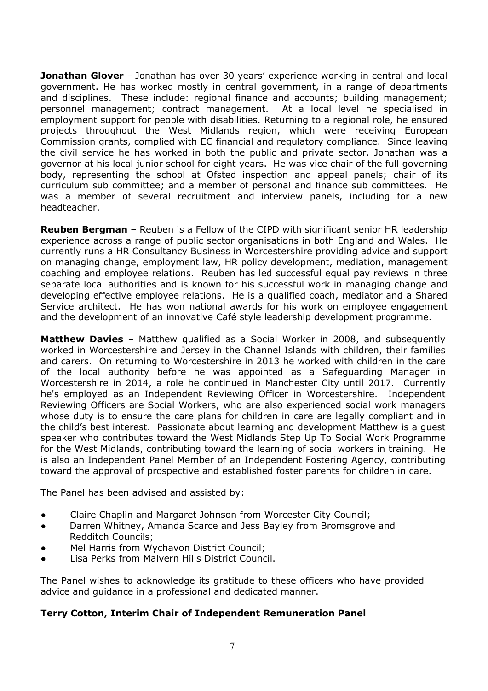**Jonathan Glover** – Jonathan has over 30 years' experience working in central and local government. He has worked mostly in central government, in a range of departments and disciplines. These include: regional finance and accounts; building management; personnel management; contract management. At a local level he specialised in employment support for people with disabilities. Returning to a regional role, he ensured projects throughout the West Midlands region, which were receiving European Commission grants, complied with EC financial and regulatory compliance. Since leaving the civil service he has worked in both the public and private sector. Jonathan was a governor at his local junior school for eight years. He was vice chair of the full governing body, representing the school at Ofsted inspection and appeal panels; chair of its curriculum sub committee; and a member of personal and finance sub committees. He was a member of several recruitment and interview panels, including for a new headteacher.

**Reuben Bergman** – Reuben is a Fellow of the CIPD with significant senior HR leadership experience across a range of public sector organisations in both England and Wales. He currently runs a HR Consultancy Business in Worcestershire providing advice and support on managing change, employment law, HR policy development, mediation, management coaching and employee relations. Reuben has led successful equal pay reviews in three separate local authorities and is known for his successful work in managing change and developing effective employee relations. He is a qualified coach, mediator and a Shared Service architect. He has won national awards for his work on employee engagement and the development of an innovative Café style leadership development programme.

**Matthew Davies** – Matthew qualified as a Social Worker in 2008, and subsequently worked in Worcestershire and Jersey in the Channel Islands with children, their families and carers. On returning to Worcestershire in 2013 he worked with children in the care of the local authority before he was appointed as a Safeguarding Manager in Worcestershire in 2014, a role he continued in Manchester City until 2017. Currently he's employed as an Independent Reviewing Officer in Worcestershire. Independent Reviewing Officers are Social Workers, who are also experienced social work managers whose duty is to ensure the care plans for children in care are legally compliant and in the child's best interest. Passionate about learning and development Matthew is a guest speaker who contributes toward the West Midlands Step Up To Social Work Programme for the West Midlands, contributing toward the learning of social workers in training. He is also an Independent Panel Member of an Independent Fostering Agency, contributing toward the approval of prospective and established foster parents for children in care.

The Panel has been advised and assisted by:

- Claire Chaplin and Margaret Johnson from Worcester City Council;
- Darren Whitney, Amanda Scarce and Jess Bayley from Bromsgrove and Redditch Councils;
- Mel Harris from Wychavon District Council;
- Lisa Perks from Malvern Hills District Council.

The Panel wishes to acknowledge its gratitude to these officers who have provided advice and guidance in a professional and dedicated manner.

#### **Terry Cotton, Interim Chair of Independent Remuneration Panel**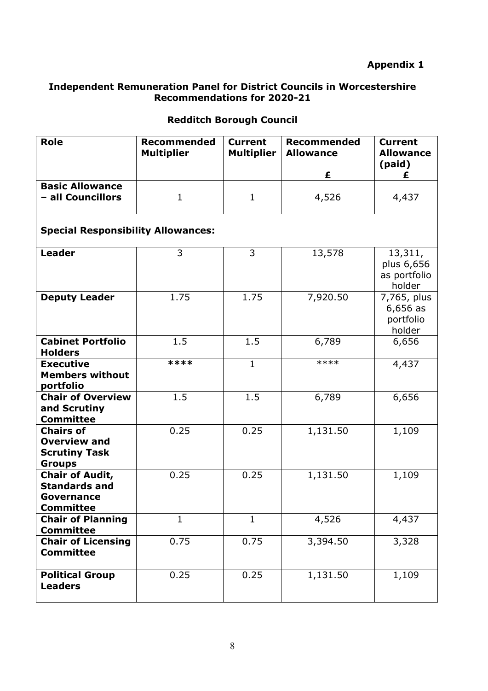# **Appendix 1**

#### **Independent Remuneration Panel for District Councils in Worcestershire Recommendations for 2020-21**

# **Redditch Borough Council**

| <b>Role</b>                                                                      | <b>Recommended</b><br><b>Multiplier</b> | <b>Current</b><br><b>Multiplier</b> | <b>Recommended</b><br><b>Allowance</b><br>£ | <b>Current</b><br><b>Allowance</b><br>(paid)     |  |  |  |
|----------------------------------------------------------------------------------|-----------------------------------------|-------------------------------------|---------------------------------------------|--------------------------------------------------|--|--|--|
| <b>Basic Allowance</b><br>- all Councillors                                      | $\mathbf{1}$                            | $\mathbf{1}$                        | 4,526                                       | 4,437                                            |  |  |  |
| <b>Special Responsibility Allowances:</b>                                        |                                         |                                     |                                             |                                                  |  |  |  |
| <b>Leader</b>                                                                    | 3                                       | 3                                   | 13,578                                      | 13,311,<br>plus 6,656<br>as portfolio<br>holder  |  |  |  |
| <b>Deputy Leader</b>                                                             | 1.75                                    | 1.75                                | 7,920.50                                    | 7,765, plus<br>$6,656$ as<br>portfolio<br>holder |  |  |  |
| <b>Cabinet Portfolio</b><br><b>Holders</b>                                       | 1.5                                     | 1.5                                 | 6,789                                       | 6,656                                            |  |  |  |
| <b>Executive</b><br><b>Members without</b><br>portfolio                          | ****                                    | $\mathbf{1}$                        | ****                                        | 4,437                                            |  |  |  |
| <b>Chair of Overview</b><br>and Scrutiny<br><b>Committee</b>                     | 1.5                                     | 1.5                                 | 6,789                                       | 6,656                                            |  |  |  |
| <b>Chairs of</b><br><b>Overview and</b><br><b>Scrutiny Task</b><br><b>Groups</b> | 0.25                                    | 0.25                                | 1,131.50                                    | 1,109                                            |  |  |  |
| <b>Chair of Audit,</b><br><b>Standards and</b><br>Governance<br><b>Committee</b> | 0.25                                    | 0.25                                | 1,131.50                                    | 1,109                                            |  |  |  |
| <b>Chair of Planning</b><br><b>Committee</b>                                     | $\mathbf{1}$                            | $\mathbf{1}$                        | 4,526                                       | 4,437                                            |  |  |  |
| <b>Chair of Licensing</b><br><b>Committee</b>                                    | 0.75                                    | 0.75                                | 3,394.50                                    | 3,328                                            |  |  |  |
| <b>Political Group</b><br><b>Leaders</b>                                         | 0.25                                    | 0.25                                | 1,131.50                                    | 1,109                                            |  |  |  |